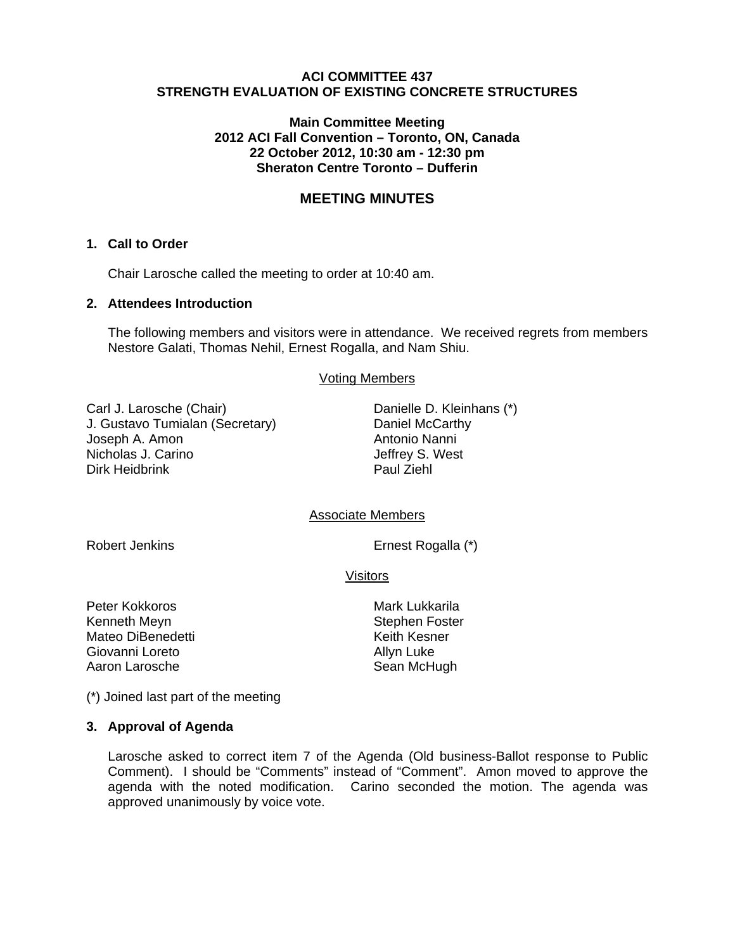## **ACI COMMITTEE 437 STRENGTH EVALUATION OF EXISTING CONCRETE STRUCTURES**

### **Main Committee Meeting 2012 ACI Fall Convention – Toronto, ON, Canada 22 October 2012, 10:30 am - 12:30 pm Sheraton Centre Toronto – Dufferin**

# **MEETING MINUTES**

#### **1. Call to Order**

Chair Larosche called the meeting to order at 10:40 am.

## **2. Attendees Introduction**

The following members and visitors were in attendance. We received regrets from members Nestore Galati, Thomas Nehil, Ernest Rogalla, and Nam Shiu.

Voting Members

Carl J. Larosche (Chair) J. Gustavo Tumialan (Secretary) Joseph A. Amon Nicholas J. Carino Dirk Heidbrink

Danielle D. Kleinhans (\*) Daniel McCarthy Antonio Nanni Jeffrey S. West Paul Ziehl

Associate Members

Robert Jenkins **Example 2018** Ernest Rogalla (\*)

**Visitors** 

Peter Kokkoros Mark Lukkarila Kenneth Meyn Stephen Foster Mateo DiBenedetti Giovanni Loreto **Allyn Luke** Aaron Larosche Sean McHugh

(\*) Joined last part of the meeting

#### **3. Approval of Agenda**

Larosche asked to correct item 7 of the Agenda (Old business-Ballot response to Public Comment). I should be "Comments" instead of "Comment". Amon moved to approve the agenda with the noted modification. Carino seconded the motion. The agenda was approved unanimously by voice vote.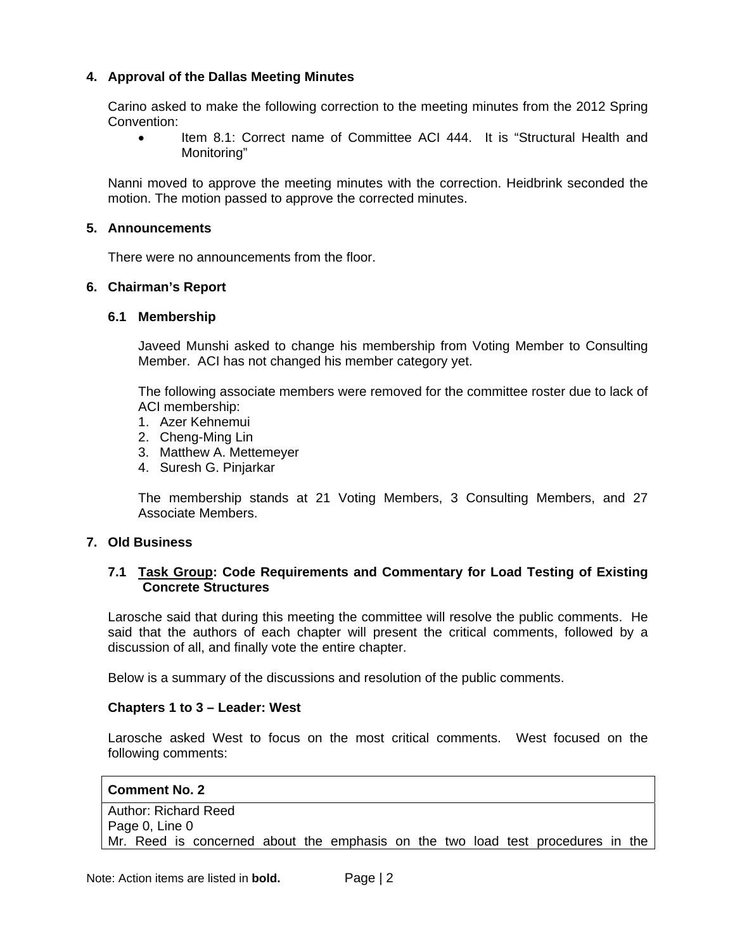# **4. Approval of the Dallas Meeting Minutes**

Carino asked to make the following correction to the meeting minutes from the 2012 Spring Convention:

• Item 8.1: Correct name of Committee ACI 444. It is "Structural Health and Monitoring"

Nanni moved to approve the meeting minutes with the correction. Heidbrink seconded the motion. The motion passed to approve the corrected minutes.

### **5. Announcements**

There were no announcements from the floor.

### **6. Chairman's Report**

### **6.1 Membership**

Javeed Munshi asked to change his membership from Voting Member to Consulting Member. ACI has not changed his member category yet.

The following associate members were removed for the committee roster due to lack of ACI membership:

- 1. Azer Kehnemui
- 2. Cheng-Ming Lin
- 3. Matthew A. Mettemeyer
- 4. Suresh G. Pinjarkar

The membership stands at 21 Voting Members, 3 Consulting Members, and 27 Associate Members.

#### **7. Old Business**

### **7.1 Task Group: Code Requirements and Commentary for Load Testing of Existing Concrete Structures**

Larosche said that during this meeting the committee will resolve the public comments. He said that the authors of each chapter will present the critical comments, followed by a discussion of all, and finally vote the entire chapter.

Below is a summary of the discussions and resolution of the public comments.

#### **Chapters 1 to 3 – Leader: West**

Larosche asked West to focus on the most critical comments. West focused on the following comments:

# **Comment No. 2**  Author: Richard Reed Page 0, Line 0 Mr. Reed is concerned about the emphasis on the two load test procedures in the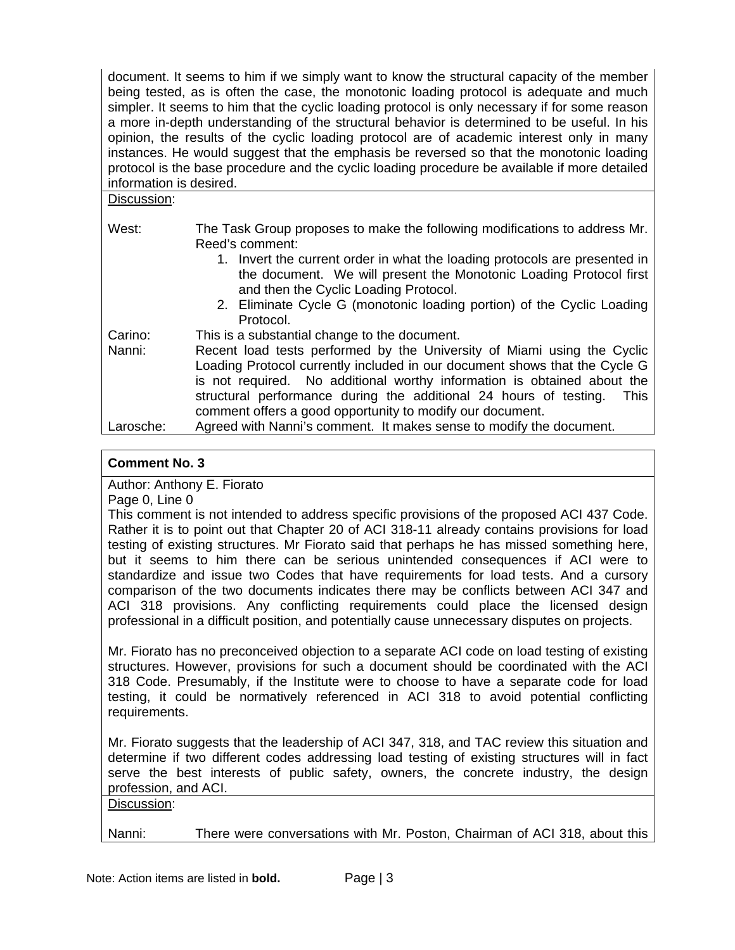document. It seems to him if we simply want to know the structural capacity of the member being tested, as is often the case, the monotonic loading protocol is adequate and much simpler. It seems to him that the cyclic loading protocol is only necessary if for some reason a more in-depth understanding of the structural behavior is determined to be useful. In his opinion, the results of the cyclic loading protocol are of academic interest only in many instances. He would suggest that the emphasis be reversed so that the monotonic loading protocol is the base procedure and the cyclic loading procedure be available if more detailed information is desired.

| Discussion: |                                                                                                                                                                                           |
|-------------|-------------------------------------------------------------------------------------------------------------------------------------------------------------------------------------------|
| West:       | The Task Group proposes to make the following modifications to address Mr.<br>Reed's comment:                                                                                             |
|             | 1. Invert the current order in what the loading protocols are presented in<br>the document. We will present the Monotonic Loading Protocol first<br>and then the Cyclic Loading Protocol. |
|             | 2. Eliminate Cycle G (monotonic loading portion) of the Cyclic Loading<br>Protocol.                                                                                                       |
| Carino:     | This is a substantial change to the document.                                                                                                                                             |
| Nanni:      | Recent load tests performed by the University of Miami using the Cyclic<br>Loading Protocol currently included in our document shows that the Cycle G                                     |
|             | is not required. No additional worthy information is obtained about the                                                                                                                   |
|             | structural performance during the additional 24 hours of testing.<br><b>This</b>                                                                                                          |
|             | comment offers a good opportunity to modify our document.                                                                                                                                 |
| Larosche:   | Agreed with Nanni's comment. It makes sense to modify the document.                                                                                                                       |

# **Comment No. 3**

Author: Anthony E. Fiorato

Page 0, Line 0

This comment is not intended to address specific provisions of the proposed ACI 437 Code. Rather it is to point out that Chapter 20 of ACI 318-11 already contains provisions for load testing of existing structures. Mr Fiorato said that perhaps he has missed something here, but it seems to him there can be serious unintended consequences if ACI were to standardize and issue two Codes that have requirements for load tests. And a cursory comparison of the two documents indicates there may be conflicts between ACI 347 and ACI 318 provisions. Any conflicting requirements could place the licensed design professional in a difficult position, and potentially cause unnecessary disputes on projects.

Mr. Fiorato has no preconceived objection to a separate ACI code on load testing of existing structures. However, provisions for such a document should be coordinated with the ACI 318 Code. Presumably, if the Institute were to choose to have a separate code for load testing, it could be normatively referenced in ACI 318 to avoid potential conflicting requirements.

Mr. Fiorato suggests that the leadership of ACI 347, 318, and TAC review this situation and determine if two different codes addressing load testing of existing structures will in fact serve the best interests of public safety, owners, the concrete industry, the design profession, and ACI.

Discussion:

Nanni: There were conversations with Mr. Poston, Chairman of ACI 318, about this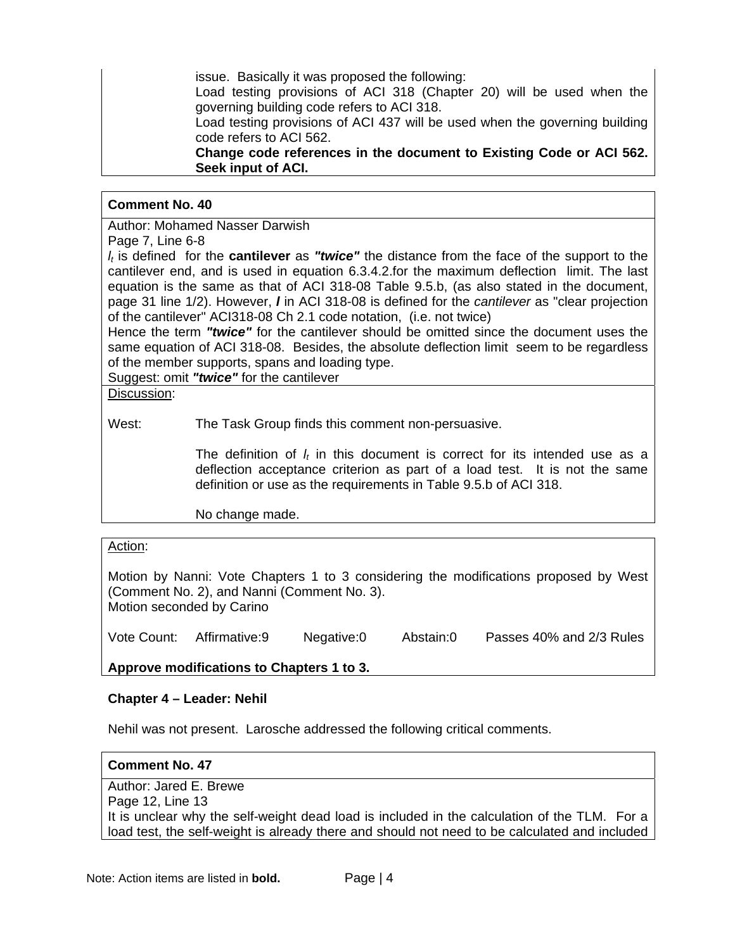issue. Basically it was proposed the following:

Load testing provisions of ACI 318 (Chapter 20) will be used when the governing building code refers to ACI 318.

Load testing provisions of ACI 437 will be used when the governing building code refers to ACI 562.

**Change code references in the document to Existing Code or ACI 562. Seek input of ACI.** 

# **Comment No. 40**

Author: Mohamed Nasser Darwish

Page 7, Line 6-8

*lt* is defined for the **cantilever** as *"twice"* the distance from the face of the support to the cantilever end, and is used in equation 6.3.4.2.for the maximum deflection limit. The last equation is the same as that of ACI 318-08 Table 9.5.b, (as also stated in the document, page 31 line 1/2). However, *l* in ACI 318-08 is defined for the *cantilever* as "clear projection of the cantilever" ACI318-08 Ch 2.1 code notation, (i.e. not twice)

Hence the term *"twice"* for the cantilever should be omitted since the document uses the same equation of ACI 318-08. Besides, the absolute deflection limit seem to be regardless of the member supports, spans and loading type.

Suggest: omit *"twice"* for the cantilever

Discussion:

West: The Task Group finds this comment non-persuasive.

The definition of  $l_t$  in this document is correct for its intended use as a deflection acceptance criterion as part of a load test. It is not the same definition or use as the requirements in Table 9.5.b of ACI 318.

No change made.

## Action:

Motion by Nanni: Vote Chapters 1 to 3 considering the modifications proposed by West (Comment No. 2), and Nanni (Comment No. 3). Motion seconded by Carino

Vote Count: Affirmative:9 Negative:0 Abstain:0 Passes 40% and 2/3 Rules

**Approve modifications to Chapters 1 to 3.** 

## **Chapter 4 – Leader: Nehil**

Nehil was not present. Larosche addressed the following critical comments.

## **Comment No. 47**

Author: Jared E. Brewe Page 12, Line 13 It is unclear why the self-weight dead load is included in the calculation of the TLM. For a load test, the self-weight is already there and should not need to be calculated and included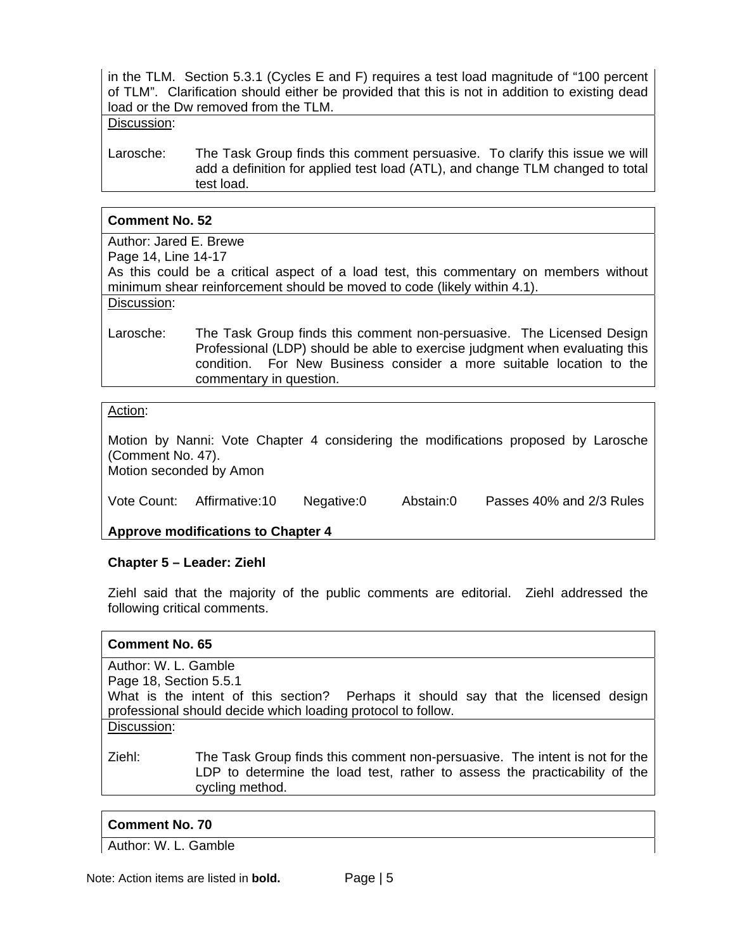in the TLM. Section 5.3.1 (Cycles E and F) requires a test load magnitude of "100 percent of TLM". Clarification should either be provided that this is not in addition to existing dead load or the Dw removed from the TLM.

#### Discussion:

Larosche: The Task Group finds this comment persuasive. To clarify this issue we will add a definition for applied test load (ATL), and change TLM changed to total test load.

### **Comment No. 52**

Author: Jared E. Brewe

Page 14, Line 14-17

As this could be a critical aspect of a load test, this commentary on members without minimum shear reinforcement should be moved to code (likely within 4.1).

Discussion:

Larosche: The Task Group finds this comment non-persuasive. The Licensed Design Professional (LDP) should be able to exercise judgment when evaluating this condition. For New Business consider a more suitable location to the commentary in question.

### Action:

Motion by Nanni: Vote Chapter 4 considering the modifications proposed by Larosche (Comment No. 47). Motion seconded by Amon

| Vote Count: Affirmative:10 | Negative:0 | Abstain:0 | Passes 40% and 2/3 Rules |
|----------------------------|------------|-----------|--------------------------|
|                            |            |           |                          |

**Approve modifications to Chapter 4** 

## **Chapter 5 – Leader: Ziehl**

Ziehl said that the majority of the public comments are editorial. Ziehl addressed the following critical comments.

#### **Comment No. 65**

Author: W. L. Gamble Page 18, Section 5.5.1 What is the intent of this section? Perhaps it should say that the licensed design professional should decide which loading protocol to follow. Discussion:

Ziehl: The Task Group finds this comment non-persuasive. The intent is not for the LDP to determine the load test, rather to assess the practicability of the cycling method.

## **Comment No. 70**

Author: W. L. Gamble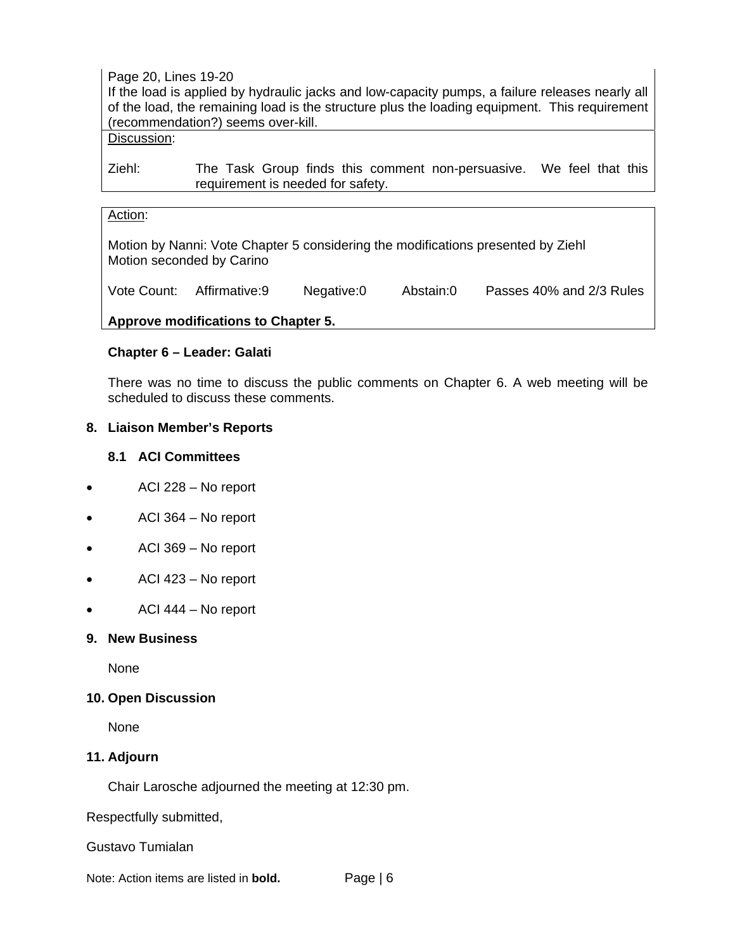Page 20, Lines 19-20

If the load is applied by hydraulic jacks and low-capacity pumps, a failure releases nearly all of the load, the remaining load is the structure plus the loading equipment. This requirement (recommendation?) seems over-kill.

# Discussion:

Ziehl: The Task Group finds this comment non-persuasive. We feel that this requirement is needed for safety.

# Action:

Motion by Nanni: Vote Chapter 5 considering the modifications presented by Ziehl Motion seconded by Carino

Vote Count: Affirmative:9 Negative:0 Abstain:0 Passes 40% and 2/3 Rules

## **Approve modifications to Chapter 5.**

## **Chapter 6 – Leader: Galati**

There was no time to discuss the public comments on Chapter 6. A web meeting will be scheduled to discuss these comments.

### **8. Liaison Member's Reports**

### **8.1 ACI Committees**

- ACI 228 No report
- ACI 364 No report
- ACI 369 No report
- ACI 423 No report
- ACI 444 No report

#### **9. New Business**

None

## **10. Open Discussion**

None

## **11. Adjourn**

Chair Larosche adjourned the meeting at 12:30 pm.

Respectfully submitted,

Gustavo Tumialan

Note: Action items are listed in **bold.** Page | 6